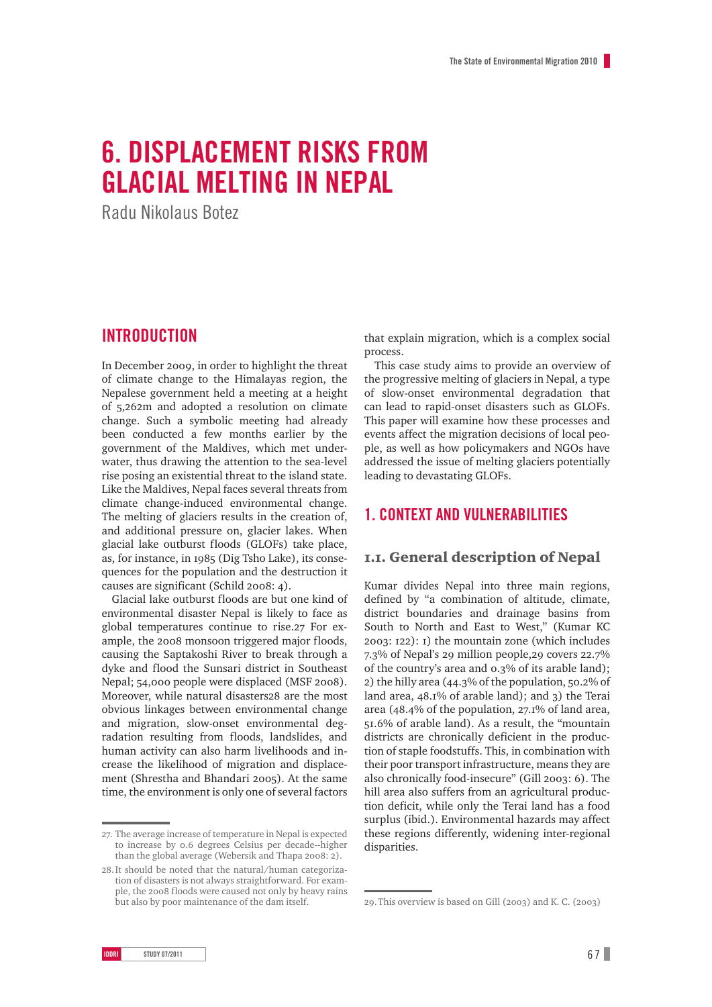# **6. Displacement risks from glacial melting in Nepal**

Radu Nikolaus Botez

## **Introduction**

In December 2009, in order to highlight the threat of climate change to the Himalayas region, the Nepalese government held a meeting at a height of 5,262m and adopted a resolution on climate change. Such a symbolic meeting had already been conducted a few months earlier by the government of the Maldives, which met underwater, thus drawing the attention to the sea-level rise posing an existential threat to the island state. Like the Maldives, Nepal faces several threats from climate change-induced environmental change. The melting of glaciers results in the creation of, and additional pressure on, glacier lakes. When glacial lake outburst floods (GLOFs) take place, as, for instance, in 1985 (Dig Tsho Lake), its consequences for the population and the destruction it causes are significant (Schild 2008: 4).

Glacial lake outburst floods are but one kind of environmental disaster Nepal is likely to face as global temperatures continue to rise.27 For example, the 2008 monsoon triggered major floods, causing the Saptakoshi River to break through a dyke and flood the Sunsari district in Southeast Nepal; 54,000 people were displaced (MSF 2008). Moreover, while natural disasters28 are the most obvious linkages between environmental change and migration, slow-onset environmental degradation resulting from floods, landslides, and human activity can also harm livelihoods and increase the likelihood of migration and displacement (Shrestha and Bhandari 2005). At the same time, the environment is only one of several factors

that explain migration, which is a complex social process.

This case study aims to provide an overview of the progressive melting of glaciers in Nepal, a type of slow-onset environmental degradation that can lead to rapid-onset disasters such as GLOFs. This paper will examine how these processes and events affect the migration decisions of local people, as well as how policymakers and NGOs have addressed the issue of melting glaciers potentially leading to devastating GLOFs.

### **1. Context and vulnerabilities**

#### 1.1. General description of Nepal

Kumar divides Nepal into three main regions, defined by "a combination of altitude, climate, district boundaries and drainage basins from South to North and East to West," (Kumar KC 2003: 122): 1) the mountain zone (which includes 7.3% of Nepal's 29 million people,29 covers 22.7% of the country's area and 0.3% of its arable land); 2) the hilly area (44.3% of the population, 50.2% of land area, 48.1% of arable land); and 3) the Terai area (48.4% of the population, 27.1% of land area, 51.6% of arable land). As a result, the "mountain districts are chronically deficient in the production of staple foodstuffs. This, in combination with their poor transport infrastructure, means they are also chronically food-insecure" (Gill 2003: 6). The hill area also suffers from an agricultural production deficit, while only the Terai land has a food surplus (ibid.). Environmental hazards may affect these regions differently, widening inter-regional disparities.

<sup>27.</sup> The average increase of temperature in Nepal is expected to increase by 0.6 degrees Celsius per decade--higher than the global average (Webersik and Thapa 2008: 2).

<sup>28.</sup>It should be noted that the natural/human categorization of disasters is not always straightforward. For example, the 2008 floods were caused not only by heavy rains but also by poor maintenance of the dam itself.

<sup>29.</sup>This overview is based on Gill (2003) and K. C. (2003)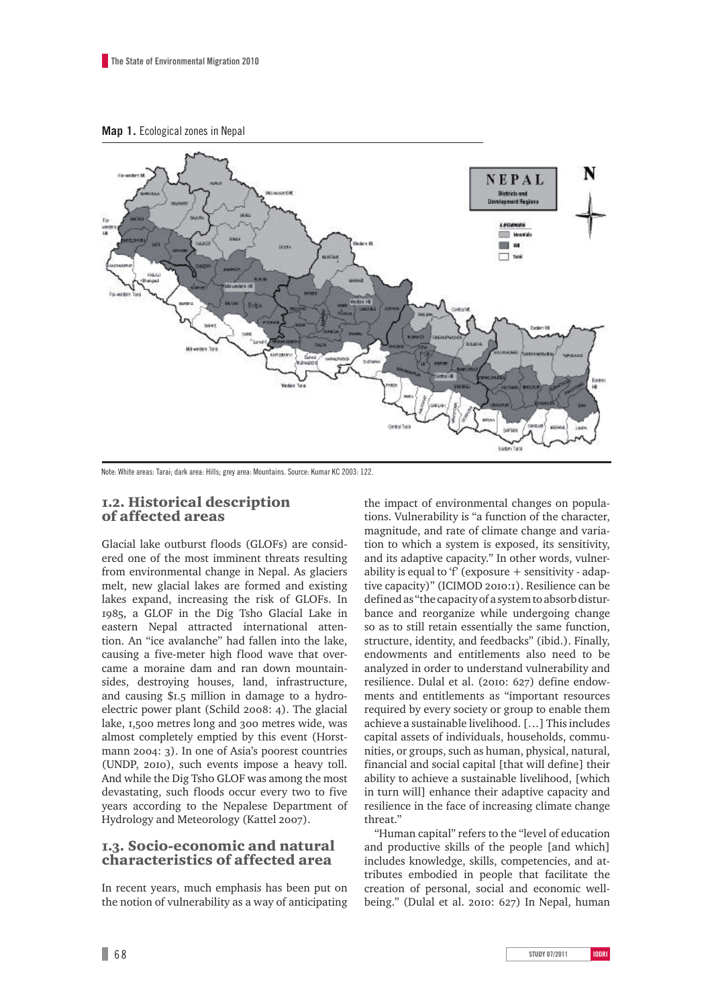



Note: White areas: Tarai; dark area: Hills; grey area: Mountains. Source: Kumar KC 2003: 122.

#### 1.2. Historical description of affected areas

Glacial lake outburst floods (GLOFs) are considered one of the most imminent threats resulting from environmental change in Nepal. As glaciers melt, new glacial lakes are formed and existing lakes expand, increasing the risk of GLOFs. In 1985, a GLOF in the Dig Tsho Glacial Lake in eastern Nepal attracted international attention. An "ice avalanche" had fallen into the lake, causing a five-meter high flood wave that overcame a moraine dam and ran down mountainsides, destroying houses, land, infrastructure, and causing \$1.5 million in damage to a hydroelectric power plant (Schild 2008: 4). The glacial lake, 1,500 metres long and 300 metres wide, was almost completely emptied by this event (Horstmann 2004: 3). In one of Asia's poorest countries (UNDP, 2010), such events impose a heavy toll. And while the Dig Tsho GLOF was among the most devastating, such floods occur every two to five years according to the Nepalese Department of Hydrology and Meteorology (Kattel 2007).

#### 1.3. Socio-economic and natural characteristics of affected area

In recent years, much emphasis has been put on the notion of vulnerability as a way of anticipating the impact of environmental changes on populations. Vulnerability is "a function of the character, magnitude, and rate of climate change and variation to which a system is exposed, its sensitivity, and its adaptive capacity." In other words, vulnerability is equal to 'f' (exposure  $+$  sensitivity - adaptive capacity)" (ICIMOD 2010:1). Resilience can be defined as "the capacity of a system to absorb disturbance and reorganize while undergoing change so as to still retain essentially the same function, structure, identity, and feedbacks" (ibid.). Finally, endowments and entitlements also need to be analyzed in order to understand vulnerability and resilience. Dulal et al. (2010: 627) define endowments and entitlements as "important resources required by every society or group to enable them achieve a sustainable livelihood. […] This includes capital assets of individuals, households, communities, or groups, such as human, physical, natural, financial and social capital [that will define] their ability to achieve a sustainable livelihood, [which in turn will] enhance their adaptive capacity and resilience in the face of increasing climate change threat."

"Human capital" refers to the "level of education and productive skills of the people [and which] includes knowledge, skills, competencies, and attributes embodied in people that facilitate the creation of personal, social and economic wellbeing." (Dulal et al. 2010: 627) In Nepal, human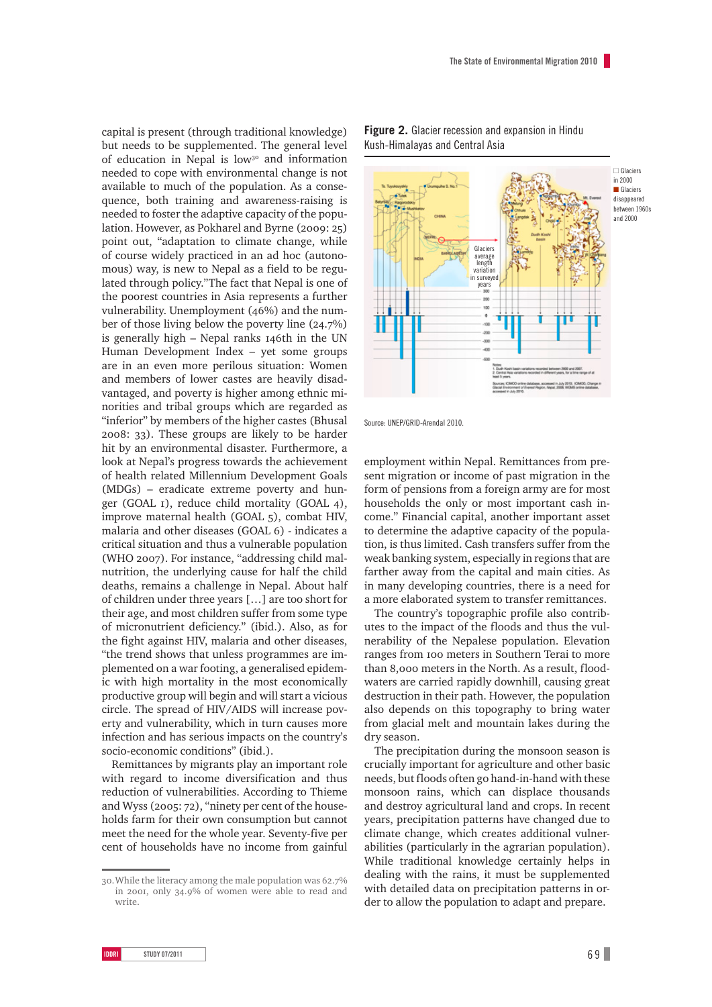capital is present (through traditional knowledge) but needs to be supplemented. The general level of education in Nepal is low<sup>30</sup> and information needed to cope with environmental change is not available to much of the population. As a consequence, both training and awareness-raising is needed to foster the adaptive capacity of the population. However, as Pokharel and Byrne (2009: 25) point out, "adaptation to climate change, while of course widely practiced in an ad hoc (autonomous) way, is new to Nepal as a field to be regulated through policy."The fact that Nepal is one of the poorest countries in Asia represents a further vulnerability. Unemployment (46%) and the number of those living below the poverty line (24.7%) is generally high – Nepal ranks 146th in the UN Human Development Index – yet some groups are in an even more perilous situation: Women and members of lower castes are heavily disadvantaged, and poverty is higher among ethnic minorities and tribal groups which are regarded as "inferior" by members of the higher castes (Bhusal 2008: 33). These groups are likely to be harder hit by an environmental disaster. Furthermore, a look at Nepal's progress towards the achievement of health related Millennium Development Goals (MDGs) – eradicate extreme poverty and hunger (GOAL 1), reduce child mortality (GOAL 4), improve maternal health (GOAL 5), combat HIV, malaria and other diseases (GOAL 6) - indicates a critical situation and thus a vulnerable population (WHO 2007). For instance, "addressing child malnutrition, the underlying cause for half the child deaths, remains a challenge in Nepal. About half of children under three years […] are too short for their age, and most children suffer from some type of micronutrient deficiency." (ibid.). Also, as for the fight against HIV, malaria and other diseases, "the trend shows that unless programmes are implemented on a war footing, a generalised epidemic with high mortality in the most economically productive group will begin and will start a vicious circle. The spread of HIV/AIDS will increase poverty and vulnerability, which in turn causes more infection and has serious impacts on the country's socio-economic conditions" (ibid.).

Remittances by migrants play an important role with regard to income diversification and thus reduction of vulnerabilities. According to Thieme and Wyss (2005: 72), "ninety per cent of the households farm for their own consumption but cannot meet the need for the whole year. Seventy-five per cent of households have no income from gainful



**Figure 2.** Glacier recession and expansion in Hindu Kush-Himalayas and Central Asia

Source: UNEP/GRID-Arendal 2010.

employment within Nepal. Remittances from present migration or income of past migration in the form of pensions from a foreign army are for most households the only or most important cash income." Financial capital, another important asset to determine the adaptive capacity of the population, is thus limited. Cash transfers suffer from the weak banking system, especially in regions that are farther away from the capital and main cities. As in many developing countries, there is a need for a more elaborated system to transfer remittances.

The country's topographic profile also contributes to the impact of the floods and thus the vulnerability of the Nepalese population. Elevation ranges from 100 meters in Southern Terai to more than 8,000 meters in the North. As a result, floodwaters are carried rapidly downhill, causing great destruction in their path. However, the population also depends on this topography to bring water from glacial melt and mountain lakes during the dry season.

The precipitation during the monsoon season is crucially important for agriculture and other basic needs, but floods often go hand-in-hand with these monsoon rains, which can displace thousands and destroy agricultural land and crops. In recent years, precipitation patterns have changed due to climate change, which creates additional vulnerabilities (particularly in the agrarian population). While traditional knowledge certainly helps in dealing with the rains, it must be supplemented with detailed data on precipitation patterns in order to allow the population to adapt and prepare.

<sup>30.</sup>While the literacy among the male population was 62.7% in 2001, only 34.9% of women were able to read and write.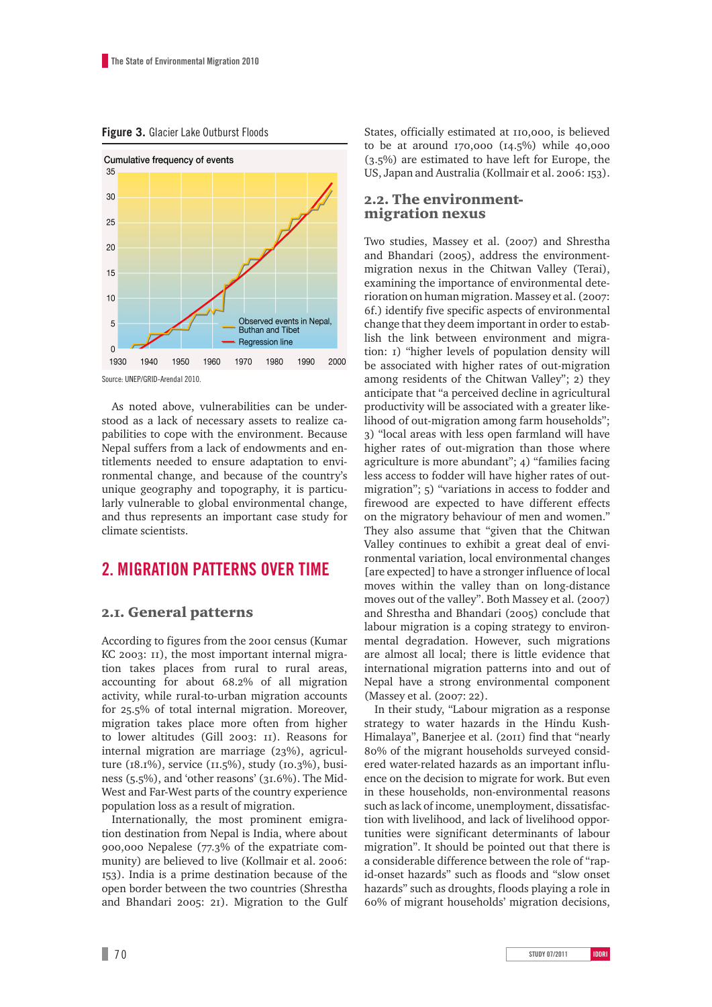**Figure 3.** Glacier Lake Outburst Floods



Source: UNEP/GRID-Arendal 2010.

As noted above, vulnerabilities can be understood as a lack of necessary assets to realize capabilities to cope with the environment. Because Nepal suffers from a lack of endowments and entitlements needed to ensure adaptation to environmental change, and because of the country's unique geography and topography, it is particularly vulnerable to global environmental change, and thus represents an important case study for climate scientists.

## **2. Migration patterns over time**

#### 2.1. General patterns

According to figures from the 2001 census (Kumar KC 2003: 11), the most important internal migration takes places from rural to rural areas, accounting for about 68.2% of all migration activity, while rural-to-urban migration accounts for 25.5% of total internal migration. Moreover, migration takes place more often from higher to lower altitudes (Gill 2003: 11). Reasons for internal migration are marriage (23%), agriculture (18.1%), service (11.5%), study (10.3%), business (5.5%), and 'other reasons' (31.6%). The Mid-West and Far-West parts of the country experience population loss as a result of migration.

Internationally, the most prominent emigration destination from Nepal is India, where about 900,000 Nepalese (77.3% of the expatriate community) are believed to live (Kollmair et al. 2006: 153). India is a prime destination because of the open border between the two countries (Shrestha and Bhandari 2005: 21). Migration to the Gulf States, officially estimated at 110,000, is believed to be at around 170,000 (14.5%) while 40,000 (3.5%) are estimated to have left for Europe, the US, Japan and Australia (Kollmair et al. 2006: 153).

#### 2.2. The environmentmigration nexus

Two studies, Massey et al. (2007) and Shrestha and Bhandari (2005), address the environmentmigration nexus in the Chitwan Valley (Terai), examining the importance of environmental deterioration on human migration. Massey et al. (2007: 6f.) identify five specific aspects of environmental change that they deem important in order to establish the link between environment and migration: 1) "higher levels of population density will be associated with higher rates of out-migration among residents of the Chitwan Valley"; 2) they anticipate that "a perceived decline in agricultural productivity will be associated with a greater likelihood of out-migration among farm households"; 3) "local areas with less open farmland will have higher rates of out-migration than those where agriculture is more abundant"; 4) "families facing less access to fodder will have higher rates of outmigration"; 5) "variations in access to fodder and firewood are expected to have different effects on the migratory behaviour of men and women." They also assume that "given that the Chitwan Valley continues to exhibit a great deal of environmental variation, local environmental changes [are expected] to have a stronger influence of local moves within the valley than on long-distance moves out of the valley". Both Massey et al. (2007) and Shrestha and Bhandari (2005) conclude that labour migration is a coping strategy to environmental degradation. However, such migrations are almost all local; there is little evidence that international migration patterns into and out of Nepal have a strong environmental component (Massey et al. (2007: 22).

In their study, "Labour migration as a response strategy to water hazards in the Hindu Kush-Himalaya", Banerjee et al. (2011) find that "nearly 80% of the migrant households surveyed considered water-related hazards as an important influence on the decision to migrate for work. But even in these households, non-environmental reasons such as lack of income, unemployment, dissatisfaction with livelihood, and lack of livelihood opportunities were significant determinants of labour migration". It should be pointed out that there is a considerable difference between the role of "rapid-onset hazards" such as floods and "slow onset hazards" such as droughts, floods playing a role in 60% of migrant households' migration decisions,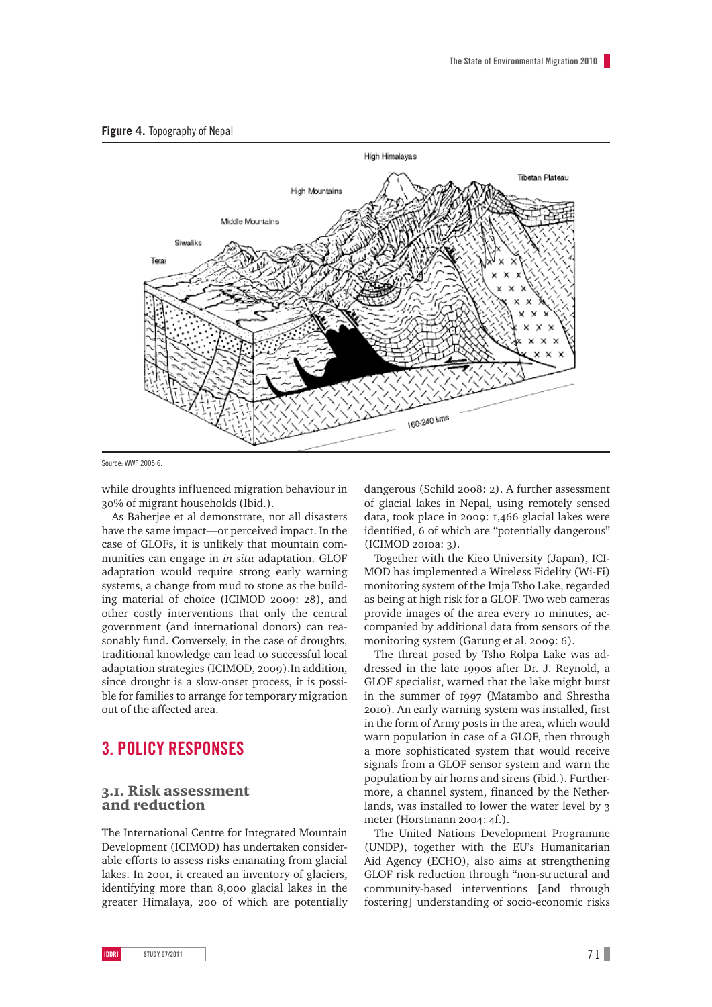



Source: WWF 2005:6.

while droughts influenced migration behaviour in 30% of migrant households (Ibid.).

As Baherjee et al demonstrate, not all disasters have the same impact—or perceived impact. In the case of GLOFs, it is unlikely that mountain communities can engage in *in situ* adaptation. GLOF adaptation would require strong early warning systems, a change from mud to stone as the building material of choice (ICIMOD 2009: 28), and other costly interventions that only the central government (and international donors) can reasonably fund. Conversely, in the case of droughts, traditional knowledge can lead to successful local adaptation strategies (ICIMOD, 2009).In addition, since drought is a slow-onset process, it is possible for families to arrange for temporary migration out of the affected area.

# **3. Policy responses**

#### 3.1. Risk assessment and reduction

The International Centre for Integrated Mountain Development (ICIMOD) has undertaken considerable efforts to assess risks emanating from glacial lakes. In 2001, it created an inventory of glaciers, identifying more than 8,000 glacial lakes in the greater Himalaya, 200 of which are potentially

dangerous (Schild 2008: 2). A further assessment of glacial lakes in Nepal, using remotely sensed data, took place in 2009: 1,466 glacial lakes were identified, 6 of which are "potentially dangerous" (ICIMOD 2010a: 3).

Together with the Kieo University (Japan), ICI-MOD has implemented a Wireless Fidelity (Wi-Fi) monitoring system of the Imja Tsho Lake, regarded as being at high risk for a GLOF. Two web cameras provide images of the area every 10 minutes, accompanied by additional data from sensors of the monitoring system (Garung et al. 2009: 6).

The threat posed by Tsho Rolpa Lake was addressed in the late 1990s after Dr. J. Reynold, a GLOF specialist, warned that the lake might burst in the summer of 1997 (Matambo and Shrestha 2010). An early warning system was installed, first in the form of Army posts in the area, which would warn population in case of a GLOF, then through a more sophisticated system that would receive signals from a GLOF sensor system and warn the population by air horns and sirens (ibid.). Furthermore, a channel system, financed by the Netherlands, was installed to lower the water level by 3 meter (Horstmann 2004: 4f.).

The United Nations Development Programme (UNDP), together with the EU's Humanitarian Aid Agency (ECHO), also aims at strengthening GLOF risk reduction through "non-structural and community-based interventions [and through fostering] understanding of socio-economic risks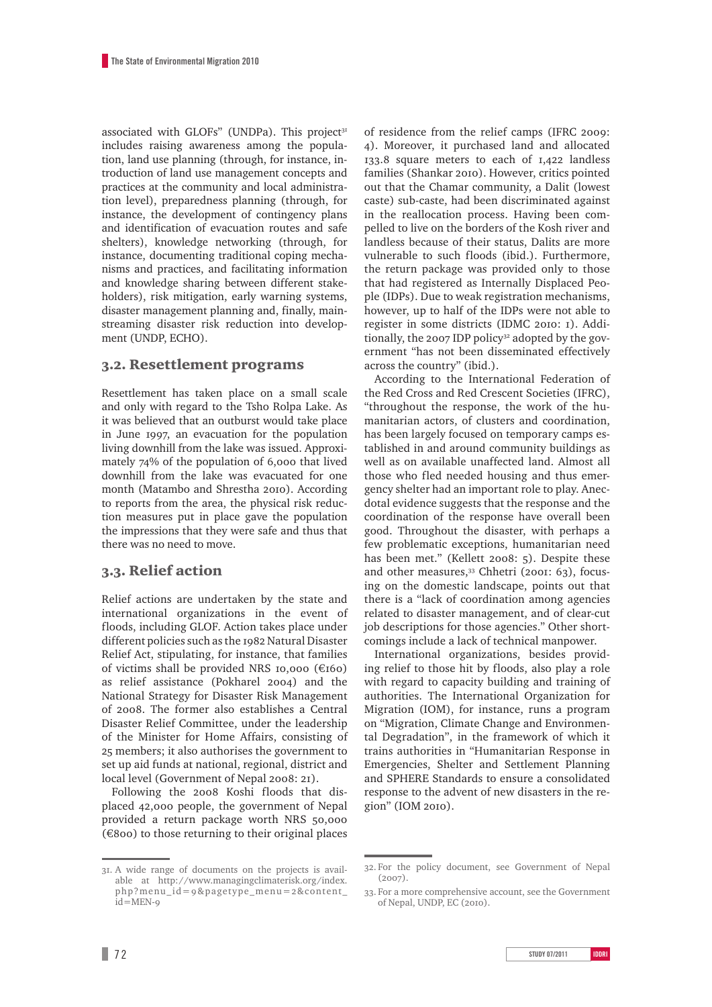associated with GLOFs" (UNDPa). This project<sup>31</sup> includes raising awareness among the population, land use planning (through, for instance, introduction of land use management concepts and practices at the community and local administration level), preparedness planning (through, for instance, the development of contingency plans and identification of evacuation routes and safe shelters), knowledge networking (through, for instance, documenting traditional coping mechanisms and practices, and facilitating information and knowledge sharing between different stakeholders), risk mitigation, early warning systems, disaster management planning and, finally, mainstreaming disaster risk reduction into development (UNDP, ECHO).

#### 3.2. Resettlement programs

Resettlement has taken place on a small scale and only with regard to the Tsho Rolpa Lake. As it was believed that an outburst would take place in June 1997, an evacuation for the population living downhill from the lake was issued. Approximately 74% of the population of 6,000 that lived downhill from the lake was evacuated for one month (Matambo and Shrestha 2010). According to reports from the area, the physical risk reduction measures put in place gave the population the impressions that they were safe and thus that there was no need to move.

#### 3.3. Relief action

Relief actions are undertaken by the state and international organizations in the event of floods, including GLOF. Action takes place under different policies such as the 1982 Natural Disaster Relief Act, stipulating, for instance, that families of victims shall be provided NRS 10,000 (€160) as relief assistance (Pokharel 2004) and the National Strategy for Disaster Risk Management of 2008. The former also establishes a Central Disaster Relief Committee, under the leadership of the Minister for Home Affairs, consisting of 25 members; it also authorises the government to set up aid funds at national, regional, district and local level (Government of Nepal 2008: 21).

Following the 2008 Koshi floods that displaced 42,000 people, the government of Nepal provided a return package worth NRS 50,000  $($ €800) to those returning to their original places

31. A wide range of documents on the projects is available at http://www.managingclimaterisk.org/index. php?menu\_id=9&pagetype\_menu=2&content\_ id=MEN-9

of residence from the relief camps (IFRC 2009: 4). Moreover, it purchased land and allocated 133.8 square meters to each of 1,422 landless families (Shankar 2010). However, critics pointed out that the Chamar community, a Dalit (lowest caste) sub-caste, had been discriminated against in the reallocation process. Having been compelled to live on the borders of the Kosh river and landless because of their status, Dalits are more vulnerable to such floods (ibid.). Furthermore, the return package was provided only to those that had registered as Internally Displaced People (IDPs). Due to weak registration mechanisms, however, up to half of the IDPs were not able to register in some districts (IDMC 2010: 1). Additionally, the 2007 IDP policy<sup>32</sup> adopted by the government "has not been disseminated effectively across the country" (ibid.).

According to the International Federation of the Red Cross and Red Crescent Societies (IFRC), "throughout the response, the work of the humanitarian actors, of clusters and coordination, has been largely focused on temporary camps established in and around community buildings as well as on available unaffected land. Almost all those who fled needed housing and thus emergency shelter had an important role to play. Anecdotal evidence suggests that the response and the coordination of the response have overall been good. Throughout the disaster, with perhaps a few problematic exceptions, humanitarian need has been met." (Kellett 2008: 5). Despite these and other measures,<sup>33</sup> Chhetri (2001: 63), focusing on the domestic landscape, points out that there is a "lack of coordination among agencies related to disaster management, and of clear-cut job descriptions for those agencies." Other shortcomings include a lack of technical manpower.

International organizations, besides providing relief to those hit by floods, also play a role with regard to capacity building and training of authorities. The International Organization for Migration (IOM), for instance, runs a program on "Migration, Climate Change and Environmental Degradation", in the framework of which it trains authorities in "Humanitarian Response in Emergencies, Shelter and Settlement Planning and SPHERE Standards to ensure a consolidated response to the advent of new disasters in the region" (IOM 2010).

<sup>32.</sup> For the policy document, see Government of Nepal  $(2007)$ .

<sup>33.</sup> For a more comprehensive account, see the Government of Nepal, UNDP, EC (2010).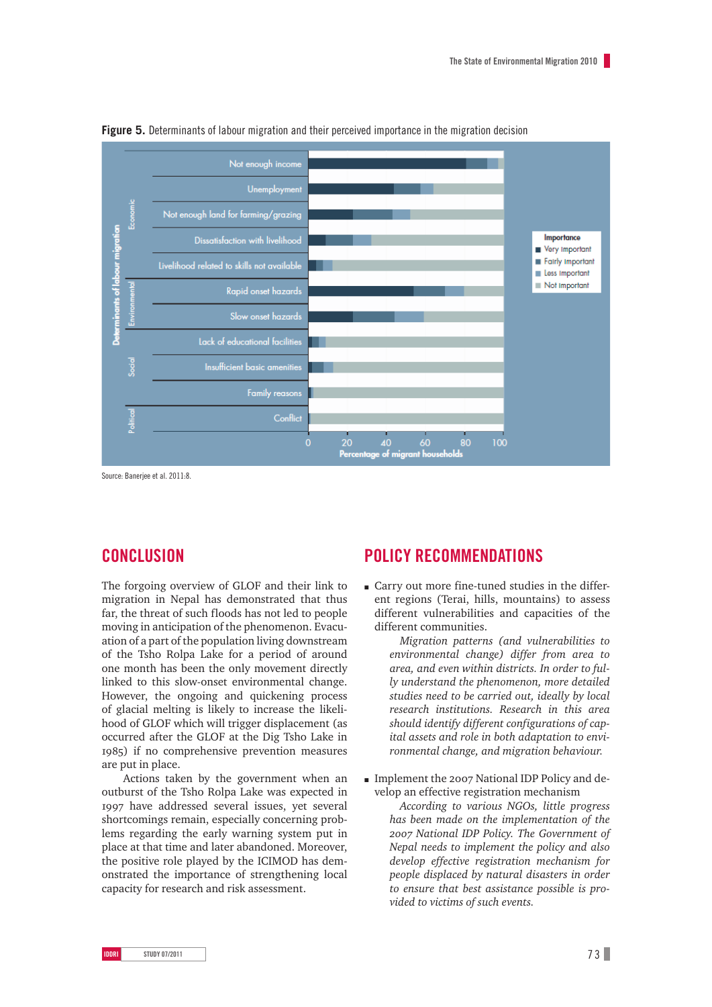

**Figure 5.** Determinants of labour migration and their perceived importance in the migration decision

Source: Banerjee et al. 2011:8.

# **Conclusion**

The forgoing overview of GLOF and their link to migration in Nepal has demonstrated that thus far, the threat of such floods has not led to people moving in anticipation of the phenomenon. Evacuation of a part of the population living downstream of the Tsho Rolpa Lake for a period of around one month has been the only movement directly linked to this slow-onset environmental change. However, the ongoing and quickening process of glacial melting is likely to increase the likelihood of GLOF which will trigger displacement (as occurred after the GLOF at the Dig Tsho Lake in 1985) if no comprehensive prevention measures are put in place.

Actions taken by the government when an outburst of the Tsho Rolpa Lake was expected in 1997 have addressed several issues, yet several shortcomings remain, especially concerning problems regarding the early warning system put in place at that time and later abandoned. Moreover, the positive role played by the ICIMOD has demonstrated the importance of strengthening local capacity for research and risk assessment.

# **Policy recommendations**

m Carry out more fine-tuned studies in the different regions (Terai, hills, mountains) to assess different vulnerabilities and capacities of the different communities.

*Migration patterns (and vulnerabilities to environmental change) differ from area to area, and even within districts. In order to fully understand the phenomenon, more detailed studies need to be carried out, ideally by local research institutions. Research in this area should identify different configurations of capital assets and role in both adaptation to environmental change, and migration behaviour.*

m Implement the 2007 National IDP Policy and develop an effective registration mechanism

*According to various NGOs, little progress has been made on the implementation of the 2007 National IDP Policy. The Government of Nepal needs to implement the policy and also develop effective registration mechanism for people displaced by natural disasters in order to ensure that best assistance possible is provided to victims of such events.*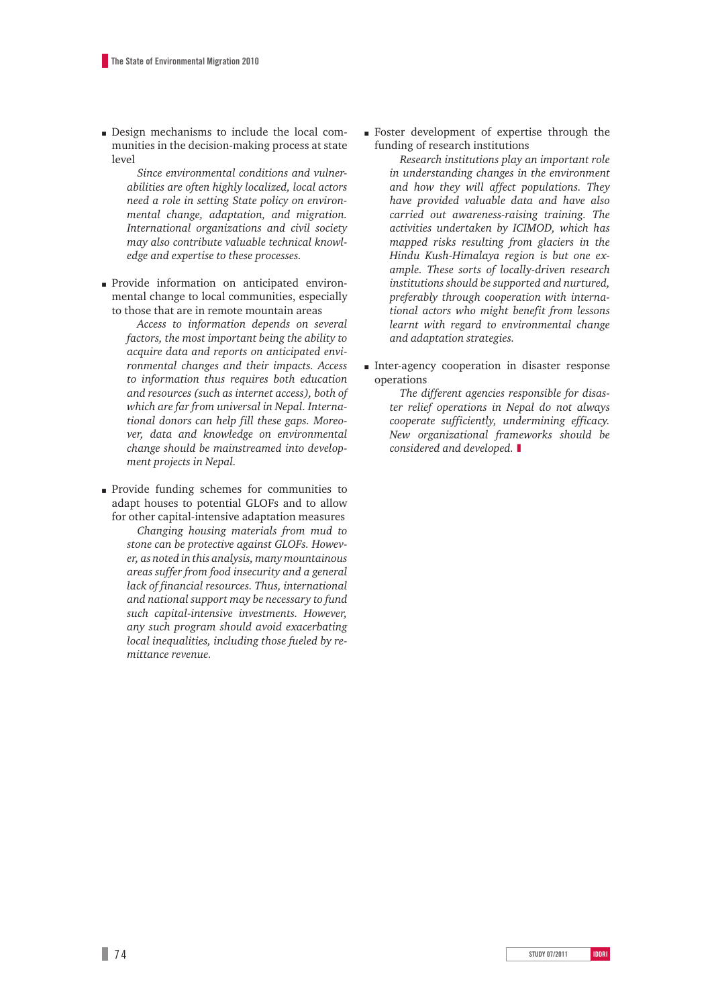m Design mechanisms to include the local communities in the decision-making process at state level

*Since environmental conditions and vulnerabilities are often highly localized, local actors need a role in setting State policy on environmental change, adaptation, and migration. International organizations and civil society may also contribute valuable technical knowledge and expertise to these processes.*

- m Provide information on anticipated environmental change to local communities, especially to those that are in remote mountain areas
	- *Access to information depends on several factors, the most important being the ability to acquire data and reports on anticipated environmental changes and their impacts. Access to information thus requires both education and resources (such as internet access), both of which are far from universal in Nepal. International donors can help fill these gaps. Moreover, data and knowledge on environmental change should be mainstreamed into development projects in Nepal.*
- m Provide funding schemes for communities to adapt houses to potential GLOFs and to allow for other capital-intensive adaptation measures *Changing housing materials from mud to stone can be protective against GLOFs. However, as noted in this analysis, many mountainous areas suffer from food insecurity and a general lack of financial resources. Thus, international and national support may be necessary to fund such capital-intensive investments. However, any such program should avoid exacerbating local inequalities, including those fueled by remittance revenue.*

m Foster development of expertise through the funding of research institutions

*Research institutions play an important role in understanding changes in the environment and how they will affect populations. They have provided valuable data and have also carried out awareness-raising training. The activities undertaken by ICIMOD, which has mapped risks resulting from glaciers in the Hindu Kush-Himalaya region is but one example. These sorts of locally-driven research institutions should be supported and nurtured, preferably through cooperation with international actors who might benefit from lessons learnt with regard to environmental change and adaptation strategies.* 

m Inter-agency cooperation in disaster response operations

> *The different agencies responsible for disaster relief operations in Nepal do not always cooperate sufficiently, undermining efficacy. New organizational frameworks should be considered and developed.* ❚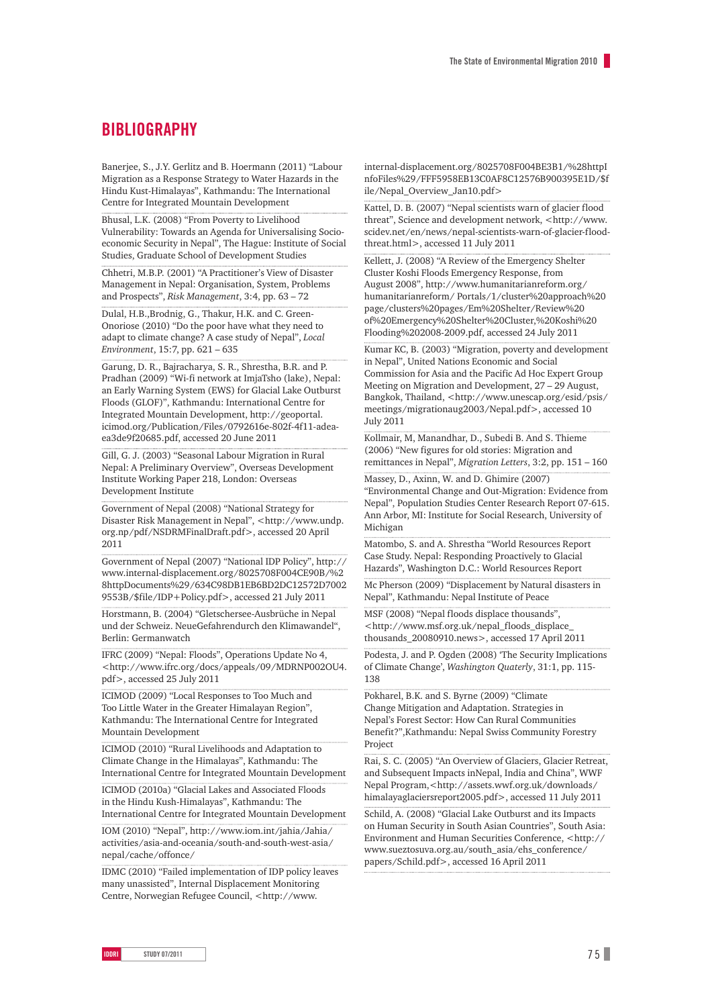## **BIBLIOGRAPHY**

Banerjee, S., J.Y. Gerlitz and B. Hoermann (2011) "Labour Migration as a Response Strategy to Water Hazards in the Hindu Kust-Himalayas", Kathmandu: The International Centre for Integrated Mountain Development

Bhusal, L.K. (2008) "From Poverty to Livelihood Vulnerability: Towards an Agenda for Universalising Socioeconomic Security in Nepal", The Hague: Institute of Social Studies, Graduate School of Development Studies

Chhetri, M.B.P. (2001) "A Practitioner's View of Disaster Management in Nepal: Organisation, System, Problems and Prospects", *Risk Management*, 3:4, pp. 63 – 72

Dulal, H.B.,Brodnig, G., Thakur, H.K. and C. Green-Onoriose (2010) "Do the poor have what they need to adapt to climate change? A case study of Nepal", *Local Environment*, 15:7, pp. 621 – 635

Garung, D. R., Bajracharya, S. R., Shrestha, B.R. and P. Pradhan (2009) "Wi-fi network at ImjaTsho (lake), Nepal: an Early Warning System (EWS) for Glacial Lake Outburst Floods (GLOF)", Kathmandu: International Centre for Integrated Mountain Development, http://geoportal. icimod.org/Publication/Files/0792616e-802f-4f11-adeaea3de9f20685.pdf, accessed 20 June 2011

Gill, G. J. (2003) "Seasonal Labour Migration in Rural Nepal: A Preliminary Overview", Overseas Development Institute Working Paper 218, London: Overseas Development Institute

Government of Nepal (2008) "National Strategy for Disaster Risk Management in Nepal", <http://www.undp. org.np/pdf/NSDRMFinalDraft.pdf>, accessed 20 April 2011

Government of Nepal (2007) "National IDP Policy", http:// www.internal-displacement.org/8025708F004CE90B/%2 8httpDocuments%29/634C98DB1EB6BD2DC12572D7002 9553B/\$file/IDP+Policy.pdf>, accessed 21 July 2011

Horstmann, B. (2004) "Gletschersee-Ausbrüche in Nepal und der Schweiz. NeueGefahrendurch den Klimawandel", Berlin: Germanwatch

IFRC (2009) "Nepal: Floods", Operations Update No 4, <http://www.ifrc.org/docs/appeals/09/MDRNP002OU4. pdf>, accessed 25 July 2011

ICIMOD (2009) "Local Responses to Too Much and Too Little Water in the Greater Himalayan Region", Kathmandu: The International Centre for Integrated Mountain Development

ICIMOD (2010) "Rural Livelihoods and Adaptation to Climate Change in the Himalayas", Kathmandu: The International Centre for Integrated Mountain Development

ICIMOD (2010a) "Glacial Lakes and Associated Floods in the Hindu Kush-Himalayas", Kathmandu: The

International Centre for Integrated Mountain Development IOM (2010) "Nepal", http://www.iom.int/jahia/Jahia/

activities/asia-and-oceania/south-and-south-west-asia/ nepal/cache/offonce/

IDMC (2010) "Failed implementation of IDP policy leaves many unassisted", Internal Displacement Monitoring Centre, Norwegian Refugee Council, <http://www.

internal-displacement.org/8025708F004BE3B1/%28httpI nfoFiles%29/FFF5958EB13C0AF8C12576B900395E1D/\$f ile/Nepal\_Overview\_Jan10.pdf>

Kattel, D. B. (2007) "Nepal scientists warn of glacier flood threat", Science and development network, <http://www. scidev.net/en/news/nepal-scientists-warn-of-glacier-floodthreat.html>, accessed 11 July 2011

Kellett, J. (2008) "A Review of the Emergency Shelter Cluster Koshi Floods Emergency Response, from August 2008", http://www.humanitarianreform.org/ humanitarianreform/ Portals/1/cluster%20approach%20 page/clusters%20pages/Em%20Shelter/Review%20 of%20Emergency%20Shelter%20Cluster,%20Koshi%20 Flooding%202008-2009.pdf, accessed 24 July 2011

Kumar KC, B. (2003) "Migration, poverty and development in Nepal", United Nations Economic and Social Commission for Asia and the Pacific Ad Hoc Expert Group Meeting on Migration and Development, 27 – 29 August, Bangkok, Thailand, <http://www.unescap.org/esid/psis/ meetings/migrationaug2003/Nepal.pdf>, accessed 10 July 2011

Kollmair, M, Manandhar, D., Subedi B. And S. Thieme (2006) "New figures for old stories: Migration and remittances in Nepal", *Migration Letters*, 3:2, pp. 151 – 160

Massey, D., Axinn, W. and D. Ghimire (2007)

"Environmental Change and Out-Migration: Evidence from Nepal", Population Studies Center Research Report 07-615. Ann Arbor, MI: Institute for Social Research, University of Michigan

Matombo, S. and A. Shrestha "World Resources Report Case Study. Nepal: Responding Proactively to Glacial Hazards", Washington D.C.: World Resources Report

Mc Pherson (2009) "Displacement by Natural disasters in Nepal", Kathmandu: Nepal Institute of Peace

MSF (2008) "Nepal floods displace thousands", <http://www.msf.org.uk/nepal\_floods\_displace\_ thousands\_20080910.news>, accessed 17 April 2011

Podesta, J. and P. Ogden (2008) 'The Security Implications of Climate Change', *Washington Quaterly*, 31:1, pp. 115- 138

Pokharel, B.K. and S. Byrne (2009) "Climate Change Mitigation and Adaptation. Strategies in Nepal's Forest Sector: How Can Rural Communities Benefit?",Kathmandu: Nepal Swiss Community Forestry Project

Rai, S. C. (2005) "An Overview of Glaciers, Glacier Retreat, and Subsequent Impacts inNepal, India and China", WWF Nepal Program,<http://assets.wwf.org.uk/downloads/ himalayaglaciersreport2005.pdf>, accessed 11 July 2011

Schild, A. (2008) "Glacial Lake Outburst and its Impacts on Human Security in South Asian Countries", South Asia: Environment and Human Securities Conference, <http:// www.sueztosuva.org.au/south\_asia/ehs\_conference/ papers/Schild.pdf>, accessed 16 April 2011